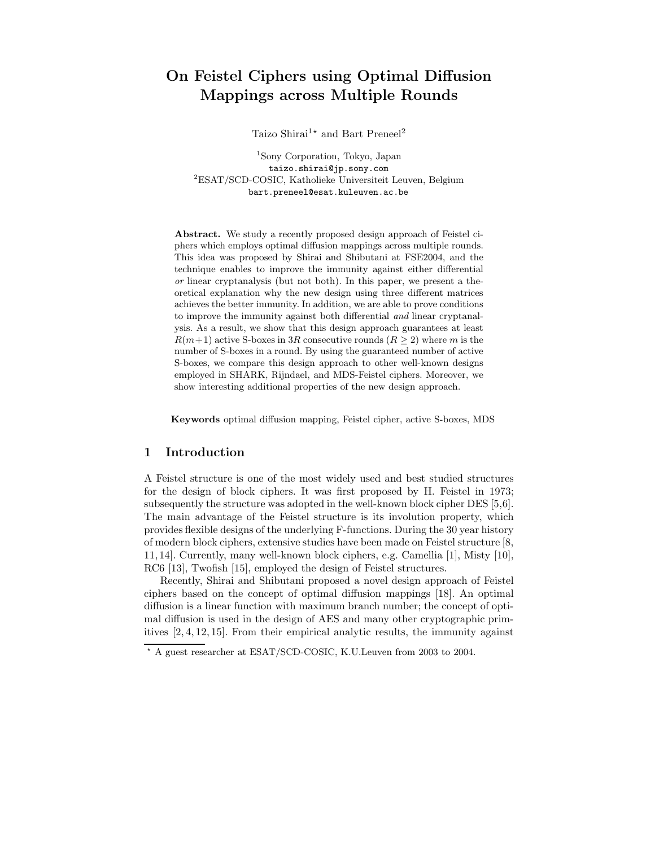# On Feistel Ciphers using Optimal Diffusion Mappings across Multiple Rounds

Taizo Shirai<sup>1\*</sup> and Bart Preneel<sup>2</sup>

<sup>1</sup>Sony Corporation, Tokyo, Japan taizo.shirai@jp.sony.com <sup>2</sup>ESAT/SCD-COSIC, Katholieke Universiteit Leuven, Belgium bart.preneel@esat.kuleuven.ac.be

Abstract. We study a recently proposed design approach of Feistel ciphers which employs optimal diffusion mappings across multiple rounds. This idea was proposed by Shirai and Shibutani at FSE2004, and the technique enables to improve the immunity against either differential or linear cryptanalysis (but not both). In this paper, we present a theoretical explanation why the new design using three different matrices achieves the better immunity. In addition, we are able to prove conditions to improve the immunity against both differential and linear cryptanalysis. As a result, we show that this design approach guarantees at least  $R(m+1)$  active S-boxes in 3R consecutive rounds  $(R \ge 2)$  where m is the number of S-boxes in a round. By using the guaranteed number of active S-boxes, we compare this design approach to other well-known designs employed in SHARK, Rijndael, and MDS-Feistel ciphers. Moreover, we show interesting additional properties of the new design approach.

Keywords optimal diffusion mapping, Feistel cipher, active S-boxes, MDS

# 1 Introduction

A Feistel structure is one of the most widely used and best studied structures for the design of block ciphers. It was first proposed by H. Feistel in 1973; subsequently the structure was adopted in the well-known block cipher DES [5,6]. The main advantage of the Feistel structure is its involution property, which provides flexible designs of the underlying F-functions. During the 30 year history of modern block ciphers, extensive studies have been made on Feistel structure [8, 11, 14]. Currently, many well-known block ciphers, e.g. Camellia [1], Misty [10], RC6 [13], Twofish [15], employed the design of Feistel structures.

Recently, Shirai and Shibutani proposed a novel design approach of Feistel ciphers based on the concept of optimal diffusion mappings [18]. An optimal diffusion is a linear function with maximum branch number; the concept of optimal diffusion is used in the design of AES and many other cryptographic primitives [2, 4, 12, 15]. From their empirical analytic results, the immunity against

<sup>?</sup> A guest researcher at ESAT/SCD-COSIC, K.U.Leuven from 2003 to 2004.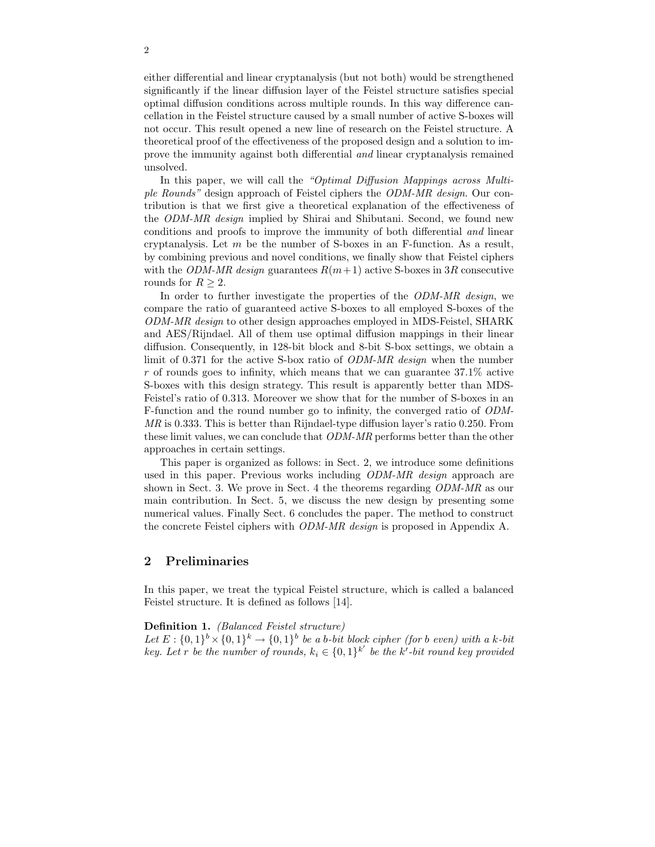either differential and linear cryptanalysis (but not both) would be strengthened significantly if the linear diffusion layer of the Feistel structure satisfies special optimal diffusion conditions across multiple rounds. In this way difference cancellation in the Feistel structure caused by a small number of active S-boxes will not occur. This result opened a new line of research on the Feistel structure. A theoretical proof of the effectiveness of the proposed design and a solution to improve the immunity against both differential and linear cryptanalysis remained unsolved.

In this paper, we will call the "Optimal Diffusion Mappings across Multiple Rounds" design approach of Feistel ciphers the ODM-MR design. Our contribution is that we first give a theoretical explanation of the effectiveness of the ODM-MR design implied by Shirai and Shibutani. Second, we found new conditions and proofs to improve the immunity of both differential and linear cryptanalysis. Let  $m$  be the number of S-boxes in an F-function. As a result, by combining previous and novel conditions, we finally show that Feistel ciphers with the ODM-MR design guarantees  $R(m+1)$  active S-boxes in 3R consecutive rounds for  $R \geq 2$ .

In order to further investigate the properties of the *ODM-MR design*, we compare the ratio of guaranteed active S-boxes to all employed S-boxes of the ODM-MR design to other design approaches employed in MDS-Feistel, SHARK and AES/Rijndael. All of them use optimal diffusion mappings in their linear diffusion. Consequently, in 128-bit block and 8-bit S-box settings, we obtain a limit of 0.371 for the active S-box ratio of ODM-MR design when the number  $r$  of rounds goes to infinity, which means that we can guarantee 37.1% active S-boxes with this design strategy. This result is apparently better than MDS-Feistel's ratio of 0.313. Moreover we show that for the number of S-boxes in an F-function and the round number go to infinity, the converged ratio of ODM-MR is 0.333. This is better than Rijndael-type diffusion layer's ratio 0.250. From these limit values, we can conclude that *ODM-MR* performs better than the other approaches in certain settings.

This paper is organized as follows: in Sect. 2, we introduce some definitions used in this paper. Previous works including ODM-MR design approach are shown in Sect. 3. We prove in Sect. 4 the theorems regarding ODM-MR as our main contribution. In Sect. 5, we discuss the new design by presenting some numerical values. Finally Sect. 6 concludes the paper. The method to construct the concrete Feistel ciphers with ODM-MR design is proposed in Appendix A.

## 2 Preliminaries

In this paper, we treat the typical Feistel structure, which is called a balanced Feistel structure. It is defined as follows [14].

#### Definition 1. (Balanced Feistel structure)

Let  $E: \{0,1\}^b \times \{0,1\}^k \to \{0,1\}^b$  be a b-bit block cipher (for b even) with a k-bit key. Let r be the number of rounds,  $k_i \in \{0,1\}^{k'}$  be the k'-bit round key provided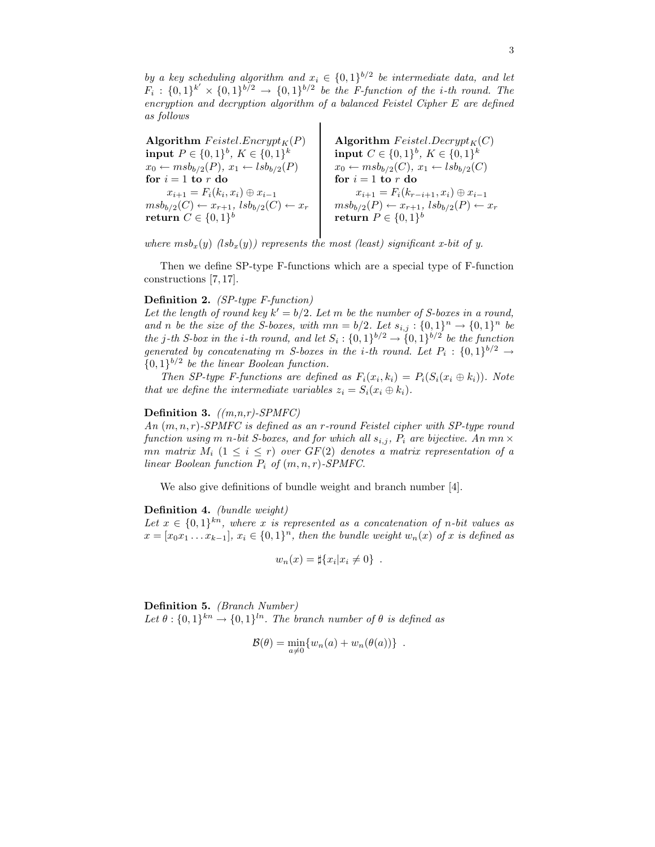by a key scheduling algorithm and  $x_i \in \{0,1\}^{b/2}$  be intermediate data, and let  $F_i: \{0,1\}^{k'} \times \{0,1\}^{b/2} \rightarrow \{0,1\}^{b/2}$  be the F-function of the i-th round. The encryption and decryption algorithm of a balanced Feistel Cipher E are defined as follows

Algorithm  $Feistel. Encrypt<sub>K</sub>(P)$  | Algorithm Feistel. Decrypt<sub>K</sub>(C)input  $P \in \{0,1\}^b$ ,  $K \in \{0,1\}^k$  $\textbf{input} \; C \in \{0,1\}^b, \; K \in \{0,1\}^k$  $x_0 \leftarrow msb_{b/2}(P), x_1 \leftarrow lsb_{b/2}(P)$   $x_0 \leftarrow msb_{b/2}(C), x_1 \leftarrow lsb_{b/2}(C)$ for  $i = 1$  to r do for  $i = 1$  to r do  $x_{i+1} = F_i(k_i, x_i) \oplus x_{i-1}$  $x_{i+1} = F_i(k_{r-i+1}, x_i) \oplus x_{i-1}$  $msb_{b/2}(C) \leftarrow x_{r+1}, \;lsb_{b/2}(C) \leftarrow x_r \quad | \quad msb_{b/2}(P) \leftarrow x_{r+1}, \;lsb_{b/2}(P) \leftarrow x_r$  $\textbf{return} \; C \in \{0,1\}^b$  $\textbf{return}\;P\in\{0,1\}^b$ 

where  $msb_x(y)$  (lsb<sub>x</sub>(y)) represents the most (least) significant x-bit of y.

Then we define SP-type F-functions which are a special type of F-function constructions [7, 17].

### Definition 2. (SP-type F-function)

Let the length of round key  $k' = b/2$ . Let m be the number of S-boxes in a round, and n be the size of the S-boxes, with  $mn = b/2$ . Let  $s_{i,j} : \{0,1\}^n \to \{0,1\}^n$  be the j-th S-box in the *i*-th round, and let  $S_i : \{0,1\}^{b/2} \rightarrow \{0,1\}^{b/2}$  be the function generated by concatenating m S-boxes in the *i*-th round. Let  $P_i: \{0,1\}^{b/2} \rightarrow$  $\{0,1\}^{b/2}$  be the linear Boolean function.

Then SP-type F-functions are defined as  $F_i(x_i, k_i) = P_i(S_i(x_i \oplus k_i))$ . Note that we define the intermediate variables  $z_i = S_i(x_i \oplus k_i)$ .

#### **Definition 3.**  $((m, n, r)$ -SPMFC)

An  $(m, n, r)$ -SPMFC is defined as an r-round Feistel cipher with SP-type round function using m n-bit S-boxes, and for which all  $s_{i,j}$ ,  $P_i$  are bijective. An mn  $\times$ mn matrix  $M_i$   $(1 \leq i \leq r)$  over  $GF(2)$  denotes a matrix representation of a linear Boolean function  $P_i$  of  $(m, n, r)$ -SPMFC.

We also give definitions of bundle weight and branch number [4].

Definition 4. (bundle weight)

Let  $x \in \{0,1\}^{kn}$ , where x is represented as a concatenation of n-bit values as  $x = [x_0x_1 \ldots x_{k-1}], x_i \in \{0,1\}^n$ , then the bundle weight  $w_n(x)$  of x is defined as

$$
w_n(x) = \sharp \{x_i | x_i \neq 0\} .
$$

Definition 5. (Branch Number) Let  $\theta: \{0,1\}^{kn} \to \{0,1\}^{ln}$ . The branch number of  $\theta$  is defined as

$$
\mathcal{B}(\theta) = \min_{a \neq 0} \{ w_n(a) + w_n(\theta(a)) \} .
$$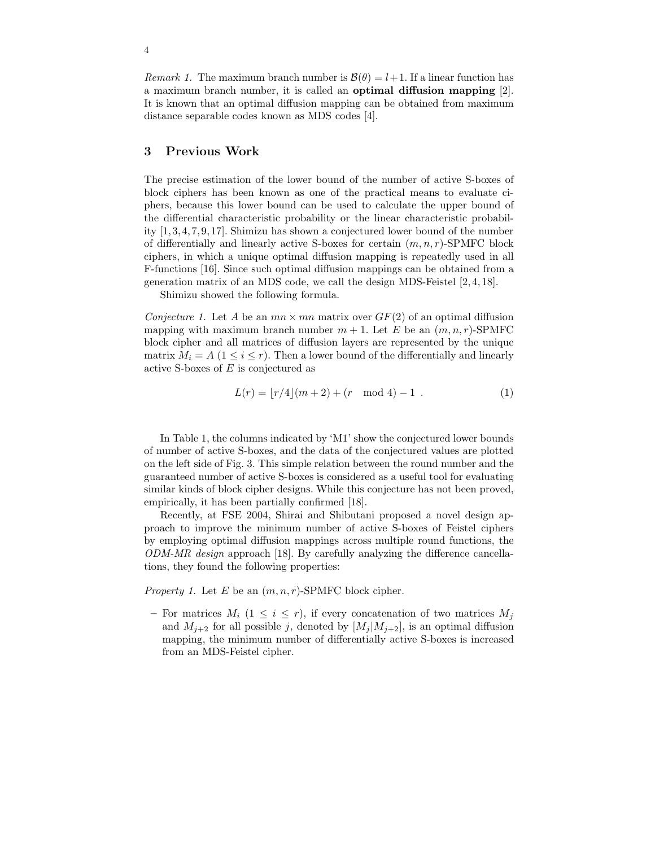*Remark 1.* The maximum branch number is  $\mathcal{B}(\theta) = l+1$ . If a linear function has a maximum branch number, it is called an optimal diffusion mapping [2]. It is known that an optimal diffusion mapping can be obtained from maximum distance separable codes known as MDS codes [4].

## 3 Previous Work

The precise estimation of the lower bound of the number of active S-boxes of block ciphers has been known as one of the practical means to evaluate ciphers, because this lower bound can be used to calculate the upper bound of the differential characteristic probability or the linear characteristic probability [1,3,4,7,9,17]. Shimizu has shown a conjectured lower bound of the number of differentially and linearly active S-boxes for certain  $(m, n, r)$ -SPMFC block ciphers, in which a unique optimal diffusion mapping is repeatedly used in all F-functions [16]. Since such optimal diffusion mappings can be obtained from a generation matrix of an MDS code, we call the design MDS-Feistel [2, 4, 18].

Shimizu showed the following formula.

Conjecture 1. Let A be an  $mn \times mn$  matrix over  $GF(2)$  of an optimal diffusion mapping with maximum branch number  $m + 1$ . Let E be an  $(m, n, r)$ -SPMFC block cipher and all matrices of diffusion layers are represented by the unique matrix  $M_i = A$  ( $1 \leq i \leq r$ ). Then a lower bound of the differentially and linearly active S-boxes of  $E$  is conjectured as

$$
L(r) = \lfloor r/4 \rfloor (m+2) + (r \mod 4) - 1 \tag{1}
$$

In Table 1, the columns indicated by 'M1' show the conjectured lower bounds of number of active S-boxes, and the data of the conjectured values are plotted on the left side of Fig. 3. This simple relation between the round number and the guaranteed number of active S-boxes is considered as a useful tool for evaluating similar kinds of block cipher designs. While this conjecture has not been proved, empirically, it has been partially confirmed [18].

Recently, at FSE 2004, Shirai and Shibutani proposed a novel design approach to improve the minimum number of active S-boxes of Feistel ciphers by employing optimal diffusion mappings across multiple round functions, the ODM-MR design approach [18]. By carefully analyzing the difference cancellations, they found the following properties:

*Property 1.* Let E be an  $(m, n, r)$ -SPMFC block cipher.

– For matrices  $M_i$   $(1 \leq i \leq r)$ , if every concatenation of two matrices  $M_i$ and  $M_{i+2}$  for all possible j, denoted by  $[M_i | M_{i+2}]$ , is an optimal diffusion mapping, the minimum number of differentially active S-boxes is increased from an MDS-Feistel cipher.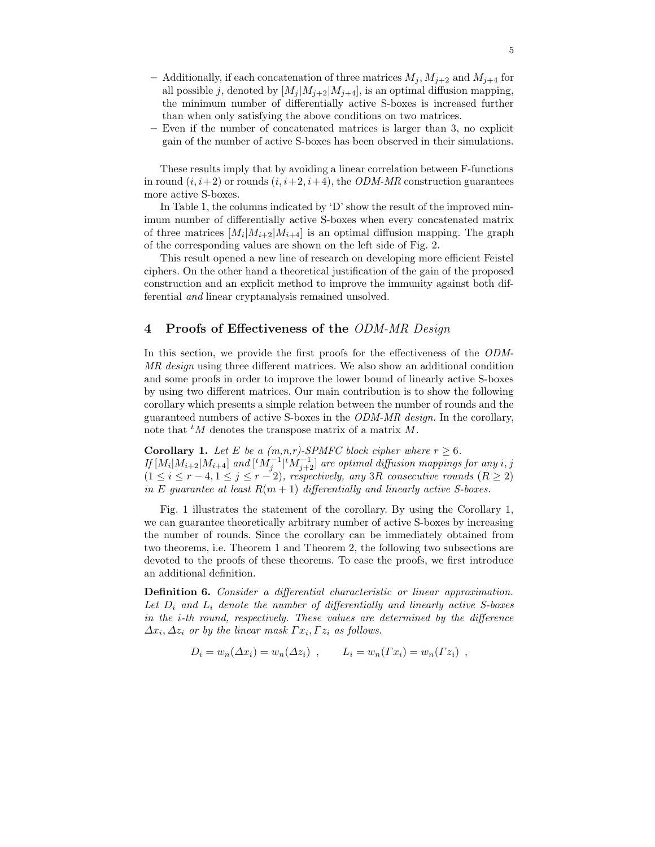- Additionally, if each concatenation of three matrices  $M_j$ ,  $M_{j+2}$  and  $M_{j+4}$  for all possible j, denoted by  $[M_j | M_{j+2} | M_{j+4}]$ , is an optimal diffusion mapping, the minimum number of differentially active S-boxes is increased further than when only satisfying the above conditions on two matrices.
- Even if the number of concatenated matrices is larger than 3, no explicit gain of the number of active S-boxes has been observed in their simulations.

These results imply that by avoiding a linear correlation between F-functions in round  $(i, i+2)$  or rounds  $(i, i+2, i+4)$ , the *ODM-MR* construction guarantees more active S-boxes.

In Table 1, the columns indicated by 'D' show the result of the improved minimum number of differentially active S-boxes when every concatenated matrix of three matrices  $[M_i|M_{i+2}|M_{i+4}]$  is an optimal diffusion mapping. The graph of the corresponding values are shown on the left side of Fig. 2.

This result opened a new line of research on developing more efficient Feistel ciphers. On the other hand a theoretical justification of the gain of the proposed construction and an explicit method to improve the immunity against both differential and linear cryptanalysis remained unsolved.

# 4 Proofs of Effectiveness of the ODM-MR Design

In this section, we provide the first proofs for the effectiveness of the ODM-MR design using three different matrices. We also show an additional condition and some proofs in order to improve the lower bound of linearly active S-boxes by using two different matrices. Our main contribution is to show the following corollary which presents a simple relation between the number of rounds and the guaranteed numbers of active S-boxes in the ODM-MR design. In the corollary, note that  ${}^tM$  denotes the transpose matrix of a matrix M.

**Corollary 1.** Let E be a  $(m,n,r)$ -SPMFC block cipher where  $r \ge 6$ . If  $[M_i|M_{i+2}|M_{i+4}]$  and  $[{}^tM_j^{-1}|{}^tM_{j+2}^{-1}]$  are optimal diffusion mappings for any  $i, j$  $(1 \leq i \leq r-4, 1 \leq j \leq r-2)$ , respectively, any 3R consecutive rounds  $(R \geq 2)$ in E quarantee at least  $R(m + 1)$  differentially and linearly active S-boxes.

Fig. 1 illustrates the statement of the corollary. By using the Corollary 1, we can guarantee theoretically arbitrary number of active S-boxes by increasing the number of rounds. Since the corollary can be immediately obtained from two theorems, i.e. Theorem 1 and Theorem 2, the following two subsections are devoted to the proofs of these theorems. To ease the proofs, we first introduce an additional definition.

Definition 6. Consider a differential characteristic or linear approximation. Let  $D_i$  and  $L_i$  denote the number of differentially and linearly active S-boxes in the i-th round, respectively. These values are determined by the difference  $\Delta x_i, \Delta z_i$  or by the linear mask  $\Gamma x_i, \Gamma z_i$  as follows.

$$
D_i = w_n(\Delta x_i) = w_n(\Delta z_i) , \qquad L_i = w_n(\Gamma x_i) = w_n(\Gamma z_i) ,
$$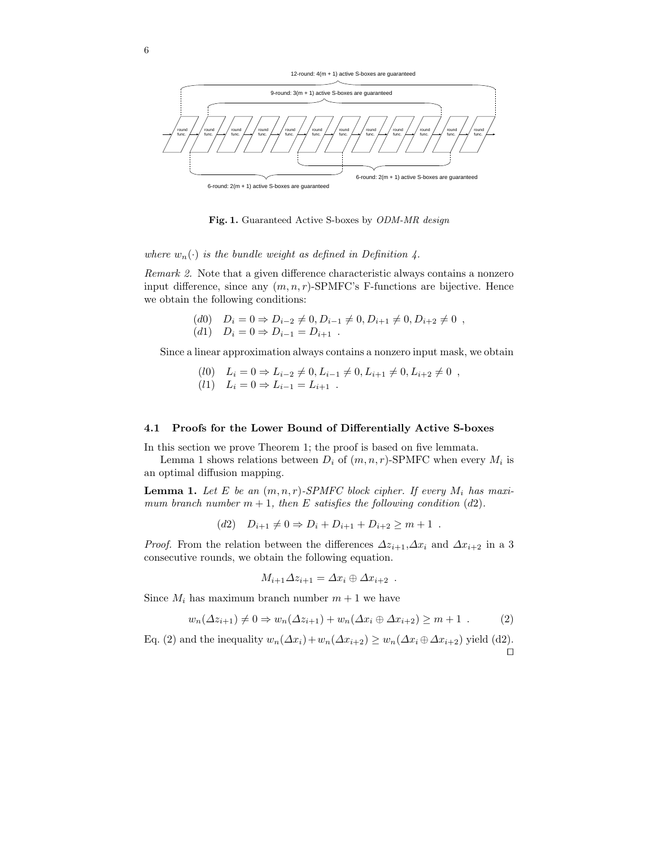



Fig. 1. Guaranteed Active S-boxes by ODM-MR design

where  $w_n(\cdot)$  is the bundle weight as defined in Definition 4.

Remark 2. Note that a given difference characteristic always contains a nonzero input difference, since any  $(m, n, r)$ -SPMFC's F-functions are bijective. Hence we obtain the following conditions:

> (d0)  $D_i = 0 \Rightarrow D_{i-2} \neq 0, D_{i-1} \neq 0, D_{i+1} \neq 0, D_{i+2} \neq 0$ ,  $(d1)$   $D_i = 0 \Rightarrow D_{i-1} = D_{i+1}$ .

Since a linear approximation always contains a nonzero input mask, we obtain

- (l0)  $L_i = 0 \Rightarrow L_{i-2} \neq 0, L_{i-1} \neq 0, L_{i+1} \neq 0, L_{i+2} \neq 0$ ,
- (l1)  $L_i = 0 \Rightarrow L_{i-1} = L_{i+1}$ .

#### 4.1 Proofs for the Lower Bound of Differentially Active S-boxes

In this section we prove Theorem 1; the proof is based on five lemmata.

Lemma 1 shows relations between  $D_i$  of  $(m, n, r)$ -SPMFC when every  $M_i$  is an optimal diffusion mapping.

**Lemma 1.** Let E be an  $(m, n, r)$ -SPMFC block cipher. If every  $M_i$  has maximum branch number  $m + 1$ , then E satisfies the following condition (d2).

$$
(d2) \quad D_{i+1} \neq 0 \Rightarrow D_i + D_{i+1} + D_{i+2} \geq m+1 \; .
$$

*Proof.* From the relation between the differences  $\Delta z_{i+1}$ ,  $\Delta x_i$  and  $\Delta x_{i+2}$  in a 3 consecutive rounds, we obtain the following equation.

$$
M_{i+1}\Delta z_{i+1} = \Delta x_i \oplus \Delta x_{i+2} .
$$

Since  $M_i$  has maximum branch number  $m + 1$  we have

$$
w_n(\Delta z_{i+1}) \neq 0 \Rightarrow w_n(\Delta z_{i+1}) + w_n(\Delta x_i \oplus \Delta x_{i+2}) \geq m+1 \tag{2}
$$

Eq. (2) and the inequality  $w_n(\Delta x_i)+w_n(\Delta x_{i+2}) \geq w_n(\Delta x_i \oplus \Delta x_{i+2})$  yield (d2).  $\Box$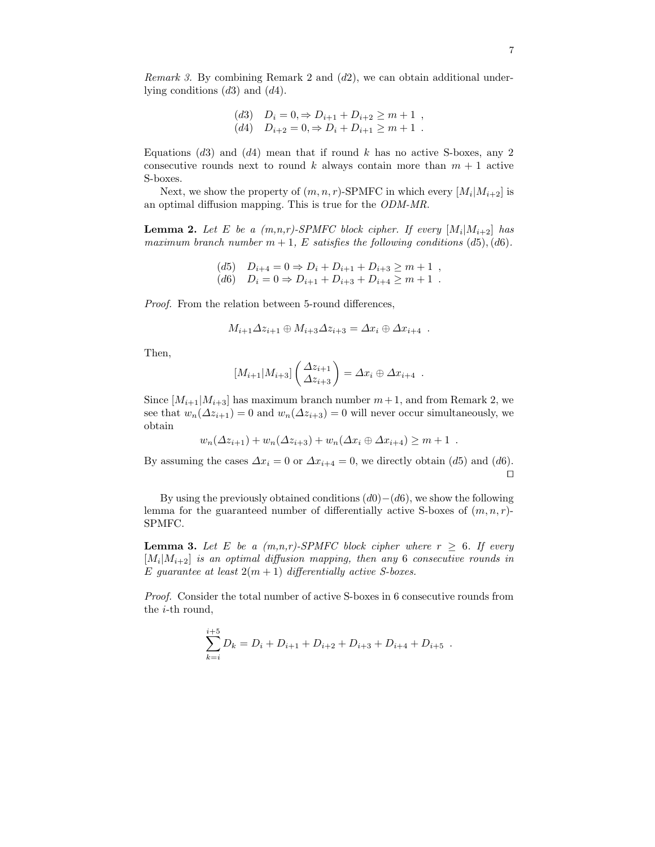*Remark 3.* By combining Remark 2 and  $(d2)$ , we can obtain additional underlying conditions  $(d3)$  and  $(d4)$ .

(d3) 
$$
D_i = 0 \Rightarrow D_{i+1} + D_{i+2} \ge m+1
$$
,  
(d4)  $D_{i+2} = 0 \Rightarrow D_i + D_{i+1} \ge m+1$ .

Equations  $(d3)$  and  $(d4)$  mean that if round k has no active S-boxes, any 2 consecutive rounds next to round k always contain more than  $m + 1$  active S-boxes.

Next, we show the property of  $(m, n, r)$ -SPMFC in which every  $[M_i|M_{i+2}]$  is an optimal diffusion mapping. This is true for the ODM-MR.

**Lemma 2.** Let E be a  $(m,n,r)$ -SPMFC block cipher. If every  $[M_i|M_{i+2}]$  has maximum branch number  $m + 1$ , E satisfies the following conditions (d5), (d6).

> $(d5)$   $D_{i+4} = 0 \Rightarrow D_i + D_{i+1} + D_{i+3} \ge m+1$ ,  $(d6)$   $D_i = 0 \Rightarrow D_{i+1} + D_{i+3} + D_{i+4} \ge m+1$ .

Proof. From the relation between 5-round differences,

$$
M_{i+1}\Delta z_{i+1}\oplus M_{i+3}\Delta z_{i+3}=\Delta x_i\oplus \Delta x_{i+4} .
$$

Then,

$$
[M_{i+1}|M_{i+3}]\left(\frac{\Delta z_{i+1}}{\Delta z_{i+3}}\right) = \Delta x_i \oplus \Delta x_{i+4} .
$$

Since  $[M_{i+1}|M_{i+3}]$  has maximum branch number  $m+1$ , and from Remark 2, we see that  $w_n(\Delta z_{i+1}) = 0$  and  $w_n(\Delta z_{i+3}) = 0$  will never occur simultaneously, we obtain

$$
w_n(\Delta z_{i+1}) + w_n(\Delta z_{i+3}) + w_n(\Delta x_i \oplus \Delta x_{i+4}) \ge m+1.
$$

By assuming the cases  $\Delta x_i = 0$  or  $\Delta x_{i+4} = 0$ , we directly obtain (d5) and (d6).  $\Box$ 

By using the previously obtained conditions  $(d0)-(d6)$ , we show the following lemma for the guaranteed number of differentially active S-boxes of  $(m, n, r)$ -SPMFC.

**Lemma 3.** Let E be a  $(m,n,r)$ -SPMFC block cipher where  $r \geq 6$ . If every  $[M_i|M_{i+2}]$  is an optimal diffusion mapping, then any 6 consecutive rounds in E guarantee at least  $2(m + 1)$  differentially active S-boxes.

Proof. Consider the total number of active S-boxes in 6 consecutive rounds from the i-th round,

$$
\sum_{k=i}^{i+5} D_k = D_i + D_{i+1} + D_{i+2} + D_{i+3} + D_{i+4} + D_{i+5}.
$$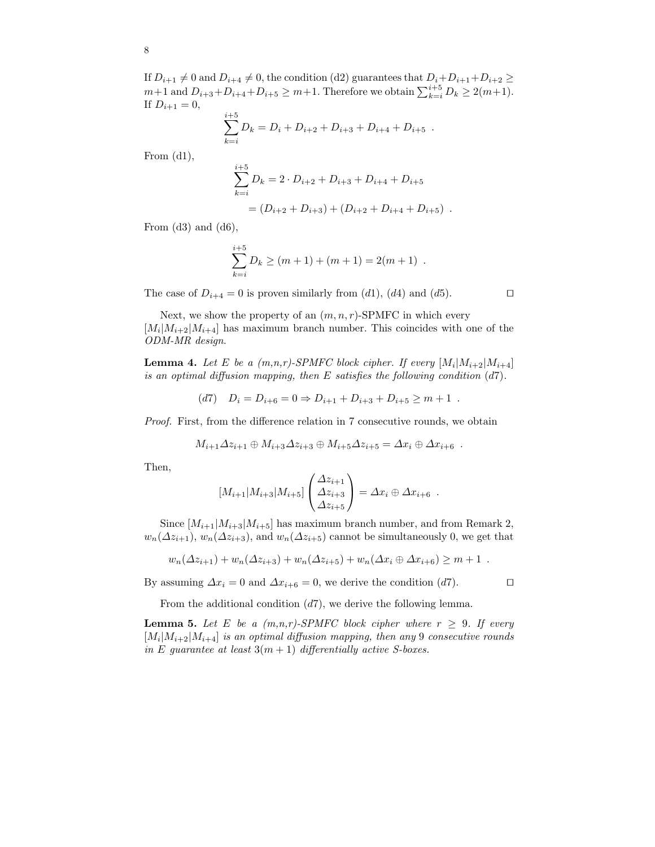If  $D_{i+1} \neq 0$  and  $D_{i+4} \neq 0$ , the condition (d2) guarantees that  $D_i+D_{i+1}+D_{i+2} \geq 0$  $m+1$  and  $D_{i+3}+D_{i+4}+D_{i+5} \geq m+1$ . Therefore we obtain  $\sum_{k=i}^{i+5} D_k \geq 2(m+1)$ . If  $D_{i+1} = 0$ ,

$$
\sum_{k=i}^{i+5} D_k = D_i + D_{i+2} + D_{i+3} + D_{i+4} + D_{i+5} .
$$

From  $(d1)$ ,

$$
\sum_{k=i}^{i+5} D_k = 2 \cdot D_{i+2} + D_{i+3} + D_{i+4} + D_{i+5}
$$

$$
= (D_{i+2} + D_{i+3}) + (D_{i+2} + D_{i+4} + D_{i+5}) .
$$

From  $(d3)$  and  $(d6)$ ,

$$
\sum_{k=i}^{i+5} D_k \ge (m+1) + (m+1) = 2(m+1) .
$$

The case of  $D_{i+4} = 0$  is proven similarly from (d1), (d4) and (d5).

Next, we show the property of an  $(m, n, r)$ -SPMFC in which every  $[M_i|M_{i+2}|M_{i+4}]$  has maximum branch number. This coincides with one of the ODM-MR design.

**Lemma 4.** Let E be a  $(m,n,r)$ -SPMFC block cipher. If every  $[M_i|M_{i+2}|M_{i+4}]$ is an optimal diffusion mapping, then  $E$  satisfies the following condition  $(d7)$ .

$$
(d7) \quad D_i = D_{i+6} = 0 \Rightarrow D_{i+1} + D_{i+3} + D_{i+5} \ge m+1 \; .
$$

Proof. First, from the difference relation in 7 consecutive rounds, we obtain

$$
M_{i+1}\Delta z_{i+1}\oplus M_{i+3}\Delta z_{i+3}\oplus M_{i+5}\Delta z_{i+5}=\Delta x_i\oplus \Delta x_{i+6} .
$$

Then,

$$
[M_{i+1}|M_{i+3}|M_{i+5}] \begin{pmatrix} \Delta z_{i+1} \\ \Delta z_{i+3} \\ \Delta z_{i+5} \end{pmatrix} = \Delta x_i \oplus \Delta x_{i+6} .
$$

Since  $[M_{i+1}|M_{i+3}|M_{i+5}]$  has maximum branch number, and from Remark 2,  $w_n(\Delta z_{i+1}), w_n(\Delta z_{i+3}),$  and  $w_n(\Delta z_{i+5})$  cannot be simultaneously 0, we get that

$$
w_n(\Delta z_{i+1}) + w_n(\Delta z_{i+3}) + w_n(\Delta z_{i+5}) + w_n(\Delta x_i \oplus \Delta x_{i+6}) \geq m+1.
$$

By assuming  $\Delta x_i = 0$  and  $\Delta x_{i+6} = 0$ , we derive the condition (d7).

From the additional condition  $(d7)$ , we derive the following lemma.

**Lemma 5.** Let E be a  $(m,n,r)$ -SPMFC block cipher where  $r \geq 9$ . If every  $[M_i|M_{i+2}|M_{i+4}]$  is an optimal diffusion mapping, then any 9 consecutive rounds in E guarantee at least  $3(m + 1)$  differentially active S-boxes.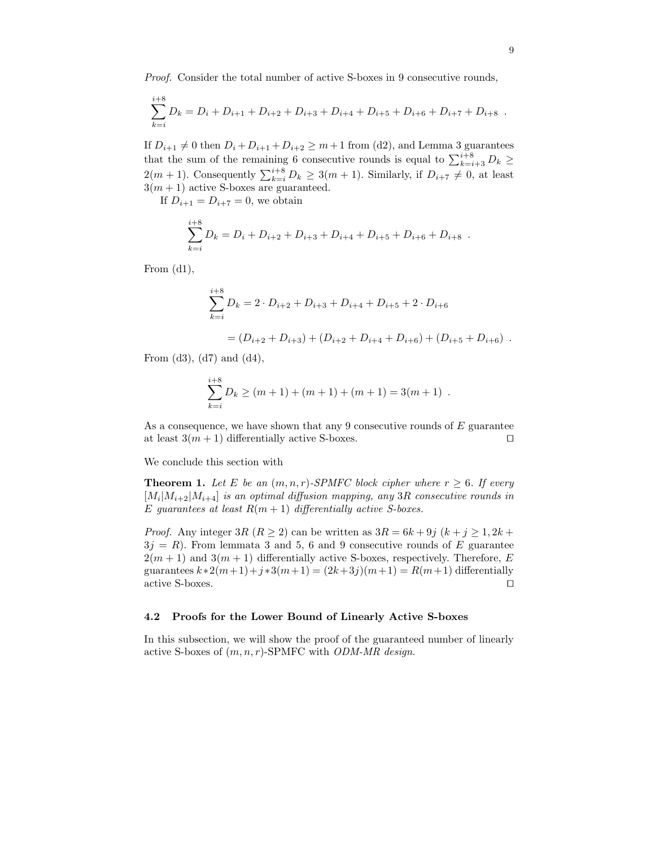Proof. Consider the total number of active S-boxes in 9 consecutive rounds,

$$
\sum_{k=i}^{i+8} D_k = D_i + D_{i+1} + D_{i+2} + D_{i+3} + D_{i+4} + D_{i+5} + D_{i+6} + D_{i+7} + D_{i+8}.
$$

If  $D_{i+1} \neq 0$  then  $D_i + D_{i+1} + D_{i+2} \geq m+1$  from (d2), and Lemma 3 guarantees that the sum of the remaining 6 consecutive rounds is equal to  $\sum_{k=i+3}^{i+8} D_k \geq$  $2(m + 1)$ . Consequently  $\sum_{k=i}^{i+8} D_k \geq 3(m + 1)$ . Similarly, if  $D_{i+7} \neq 0$ , at least  $3(m+1)$  active S-boxes are guaranteed.

If  $D_{i+1} = D_{i+7} = 0$ , we obtain

$$
\sum_{k=i}^{i+8} D_k = D_i + D_{i+2} + D_{i+3} + D_{i+4} + D_{i+5} + D_{i+6} + D_{i+8} .
$$

From (d1),

$$
\sum_{k=i}^{i+8} D_k = 2 \cdot D_{i+2} + D_{i+3} + D_{i+4} + D_{i+5} + 2 \cdot D_{i+6}
$$
  
=  $(D_{i+2} + D_{i+3}) + (D_{i+2} + D_{i+4} + D_{i+6}) + (D_{i+5} + D_{i+6})$ .

From  $(d3)$ ,  $(d7)$  and  $(d4)$ ,

$$
\sum_{k=i}^{i+8} D_k \ge (m+1) + (m+1) + (m+1) = 3(m+1) .
$$

As a consequence, we have shown that any 9 consecutive rounds of  $E$  guarantee at least  $3(m + 1)$  differentially active S-boxes.

We conclude this section with

**Theorem 1.** Let E be an  $(m, n, r)$ -SPMFC block cipher where  $r \geq 6$ . If every  $[M_i|M_{i+2}|M_{i+4}]$  is an optimal diffusion mapping, any 3R consecutive rounds in E guarantees at least  $R(m + 1)$  differentially active S-boxes.

*Proof.* Any integer 3R  $(R \ge 2)$  can be written as  $3R = 6k + 9j$   $(k + j \ge 1, 2k + j)$  $3j = R$ ). From lemmata 3 and 5, 6 and 9 consecutive rounds of E guarantee  $2(m + 1)$  and  $3(m + 1)$  differentially active S-boxes, respectively. Therefore, E guarantees  $k*2(m+1)+j*3(m+1) = (2k+3j)(m+1) = R(m+1)$  differentially active S-boxes.  $\Box$ 

### 4.2 Proofs for the Lower Bound of Linearly Active S-boxes

In this subsection, we will show the proof of the guaranteed number of linearly active S-boxes of  $(m, n, r)$ -SPMFC with *ODM-MR design.*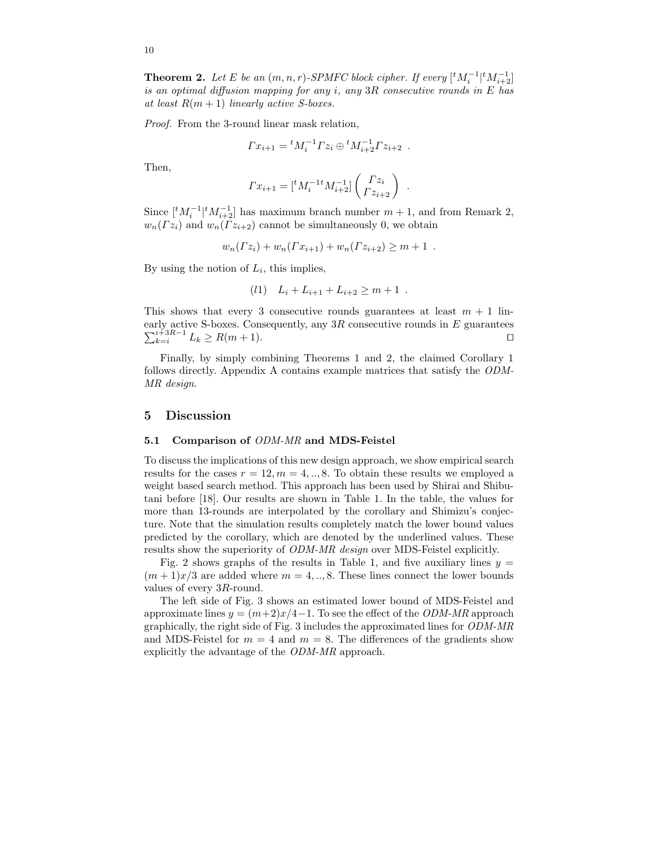**Theorem 2.** Let E be an  $(m, n, r)$ -SPMFC block cipher. If every  $\lfloor {}^{t}M_{i}^{-1} | {}^{t}M_{i+2}^{-1} \rfloor$ is an optimal diffusion mapping for any i, any  $3R$  consecutive rounds in E has at least  $R(m+1)$  linearly active S-boxes.

Proof. From the 3-round linear mask relation,

$$
\Gamma x_{i+1} = {}^{t}M_{i}^{-1}\Gamma z_{i} \oplus {}^{t}M_{i+2}^{-1}\Gamma z_{i+2} .
$$

Then,

$$
\Gamma x_{i+1} = [{}^t M_i^{-1} M_{i+2}^{-1}] \begin{pmatrix} \Gamma z_i \\ \Gamma z_{i+2} \end{pmatrix}
$$

.

Since  $\lfloor t M_i^{-1} \rfloor^t M_{i+2}^{-1}$  has maximum branch number  $m + 1$ , and from Remark 2,  $w_n(Tz_i)$  and  $w_n(Tz_{i+2})$  cannot be simultaneously 0, we obtain

$$
w_n(\Gamma z_i) + w_n(\Gamma x_{i+1}) + w_n(\Gamma z_{i+2}) \ge m+1.
$$

By using the notion of  $L_i$ , this implies,

$$
(l1) \quad L_i + L_{i+1} + L_{i+2} \geq m+1 \; .
$$

This shows that every 3 consecutive rounds guarantees at least  $m + 1$  linearly active S-boxes. Consequently, any  $3R$  consecutive rounds in  $E$  guarantees  $\sum_{k=i}^{i+3R-1} L_k \ge R(m+1).$ 

Finally, by simply combining Theorems 1 and 2, the claimed Corollary 1 follows directly. Appendix A contains example matrices that satisfy the ODM-MR design.

### 5 Discussion

#### 5.1 Comparison of ODM-MR and MDS-Feistel

To discuss the implications of this new design approach, we show empirical search results for the cases  $r = 12, m = 4, \ldots, 8$ . To obtain these results we employed a weight based search method. This approach has been used by Shirai and Shibutani before [18]. Our results are shown in Table 1. In the table, the values for more than 13-rounds are interpolated by the corollary and Shimizu's conjecture. Note that the simulation results completely match the lower bound values predicted by the corollary, which are denoted by the underlined values. These results show the superiority of ODM-MR design over MDS-Feistel explicitly.

Fig. 2 shows graphs of the results in Table 1, and five auxiliary lines  $y =$  $(m+1)x/3$  are added where  $m = 4, ..., 8$ . These lines connect the lower bounds values of every 3R-round.

The left side of Fig. 3 shows an estimated lower bound of MDS-Feistel and approximate lines  $y = (m+2)x/4-1$ . To see the effect of the *ODM-MR* approach graphically, the right side of Fig. 3 includes the approximated lines for ODM-MR and MDS-Feistel for  $m = 4$  and  $m = 8$ . The differences of the gradients show explicitly the advantage of the ODM-MR approach.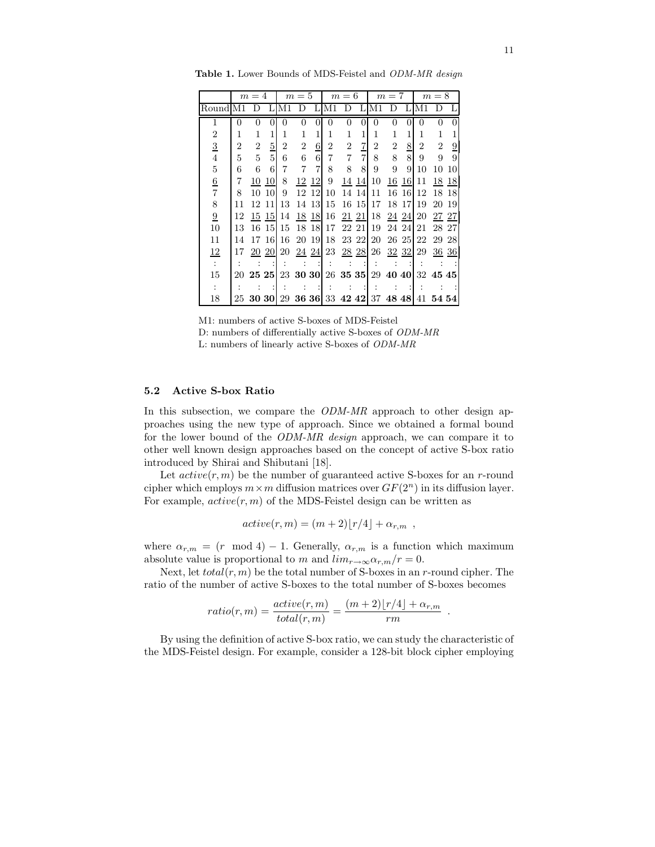|                 | $m=4$          |                |               | $m=5$          |                |                | $m=6$                               |                |             | $m=7$          |                   |               | $m=8$          |                |                |
|-----------------|----------------|----------------|---------------|----------------|----------------|----------------|-------------------------------------|----------------|-------------|----------------|-------------------|---------------|----------------|----------------|----------------|
| RoundIM1        |                | Ð              |               | M1             | D              | L              | M1                                  | D              | Τ.          | M1             | D                 | Τ.            | M1             | D              | L              |
| 1               | 0              | 0              | $\Omega$      | $\Omega$       | $\theta$       | $\theta$       | $\theta$                            | $\Omega$       | $\Omega$    | $\Omega$       | 0                 | $\Omega$      | $\Omega$       | 0              | $\Omega$       |
| $\overline{2}$  | 1              | 1              |               | 1              | 1              | 1              | 1                                   |                | 1           | 1              | 1                 |               | 1              |                |                |
| $\frac{3}{4}$   | $\overline{2}$ | $\overline{2}$ | $\frac{5}{5}$ | $\overline{2}$ | $\overline{2}$ | $\overline{6}$ | 2                                   | $\overline{2}$ | $rac{7}{7}$ | $\overline{2}$ | $\overline{2}$    | $\frac{8}{8}$ | $\overline{2}$ | $\overline{2}$ | $\overline{0}$ |
|                 | 5              | $\overline{5}$ |               | 6              | 6              | 6              | 7                                   | 7              |             | 8              | 8                 |               | 9              | 9              | 9              |
| $\bf 5$         | 6              | 6              | 6             | 7              | 7              | $\overline{7}$ | 8                                   | 8              | 8           | 9              | 9                 | 9             | 10             | 10             | 10             |
| $\frac{6}{7}$   | 7              | 10             | 10            | 8              |                | 12 12          | 9                                   | 14             | 14          | 10             | 16                | -16           | 11             | 18             | 18             |
|                 | 8              | 10             | 10            | 9              |                | 12 12          | 10                                  | 14             | 14          | 11             | 16                | -16           | 12             | 18             | -18            |
| 8               | 11             | 12 11          |               | 13             |                | 14 13          | 15                                  |                | 16 15       | 17             | 18 17             |               | 19             | 20             | 19             |
| $\underline{9}$ | 12             |                | 15 15         | 14             |                | 18 18          | 16                                  | 21 21          |             | 18             |                   | 24 24         | 20             | 27 27          |                |
| 10              | 13             | 16             | <sup>15</sup> | 15             |                | 18 18          | 17                                  | 22 21          |             | 19             | 24 24             |               | 21             | 28 27          |                |
| 11              | 14             |                | 17 16         | 16             |                | 20 19          | 18                                  | 23 22          |             | 20             | 26 25             |               | 22             | 29             | 28             |
| $\frac{12}{1}$  | 17             | 20             | -20           | 20             |                | 24 24          | 23                                  | 28 28          |             | 26             | 32 32             |               | 29             | 36             | 36             |
| $\ddot{\cdot}$  |                |                |               |                |                |                |                                     |                |             |                |                   |               |                |                |                |
| 15              |                | 20 25 25       |               |                |                |                | 23 30 30 26 35 35                   |                |             |                | 29 40 40 32 45 45 |               |                |                |                |
| $\ddot{\cdot}$  |                |                |               |                |                |                |                                     |                |             |                |                   |               |                |                |                |
| 18              | 25.            | <b>30 30</b>   |               |                |                |                | 29 36 36 33 42 42 37 48 48 41 54 54 |                |             |                |                   |               |                |                |                |

Table 1. Lower Bounds of MDS-Feistel and ODM-MR design



# 5.2 Active S-box Ratio

In this subsection, we compare the ODM-MR approach to other design approaches using the new type of approach. Since we obtained a formal bound for the lower bound of the ODM-MR design approach, we can compare it to other well known design approaches based on the concept of active S-box ratio introduced by Shirai and Shibutani [18].

Let  $active(r, m)$  be the number of guaranteed active S-boxes for an r-round cipher which employs  $m \times m$  diffusion matrices over  $GF(2^n)$  in its diffusion layer. For example,  $active(r, m)$  of the MDS-Feistel design can be written as

$$
active(r, m) = (m + 2)[r/4] + \alpha_{r,m} ,
$$

where  $\alpha_{r,m} = (r \mod 4) - 1$ . Generally,  $\alpha_{r,m}$  is a function which maximum absolute value is proportional to m and  $\lim_{r\to\infty} \alpha_{r,m}/r = 0$ .

Next, let  $total(r, m)$  be the total number of S-boxes in an r-round cipher. The ratio of the number of active S-boxes to the total number of S-boxes becomes

$$
ratio(r, m) = \frac{active(r, m)}{total(r, m)} = \frac{(m+2) \lfloor r/4 \rfloor + \alpha_{r, m}}{rm}
$$

.

By using the definition of active S-box ratio, we can study the characteristic of the MDS-Feistel design. For example, consider a 128-bit block cipher employing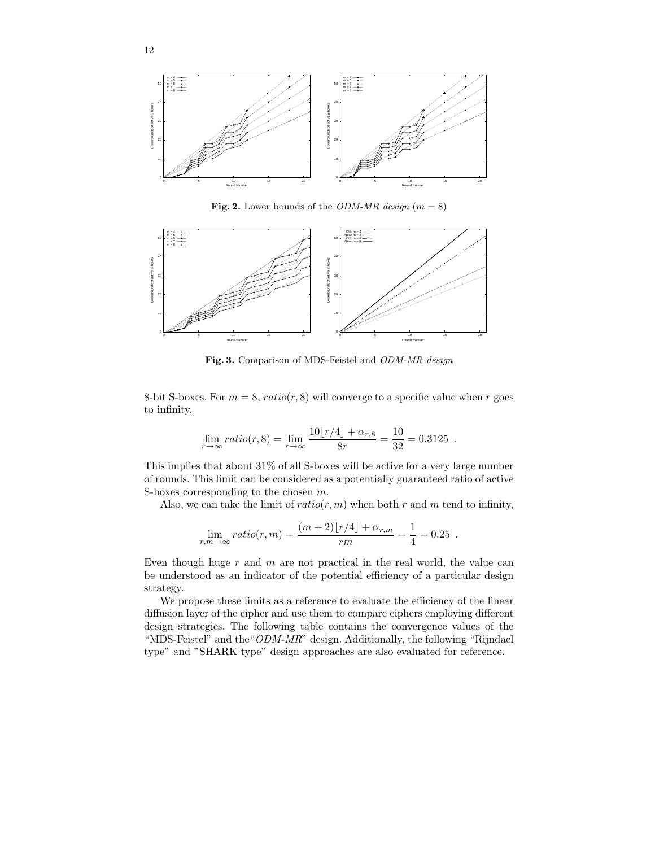

Fig. 2. Lower bounds of the *ODM-MR design* ( $m = 8$ )



Fig. 3. Comparison of MDS-Feistel and ODM-MR design

8-bit S-boxes. For  $m = 8$ ,  $ratio(r, 8)$  will converge to a specific value when r goes to infinity,

$$
\lim_{r \to \infty} ratio(r, 8) = \lim_{r \to \infty} \frac{10\lfloor r/4 \rfloor + \alpha_{r,8}}{8r} = \frac{10}{32} = 0.3125.
$$

This implies that about 31% of all S-boxes will be active for a very large number of rounds. This limit can be considered as a potentially guaranteed ratio of active S-boxes corresponding to the chosen m.

Also, we can take the limit of  $ratio(r, m)$  when both r and m tend to infinity,

$$
\lim_{r,m \to \infty} ratio(r, m) = \frac{(m+2) \lfloor r/4 \rfloor + \alpha_{r,m}}{rm} = \frac{1}{4} = 0.25.
$$

Even though huge  $r$  and  $m$  are not practical in the real world, the value can be understood as an indicator of the potential efficiency of a particular design strategy.

We propose these limits as a reference to evaluate the efficiency of the linear diffusion layer of the cipher and use them to compare ciphers employing different design strategies. The following table contains the convergence values of the "MDS-Feistel" and the"ODM-MR" design. Additionally, the following "Rijndael type" and "SHARK type" design approaches are also evaluated for reference.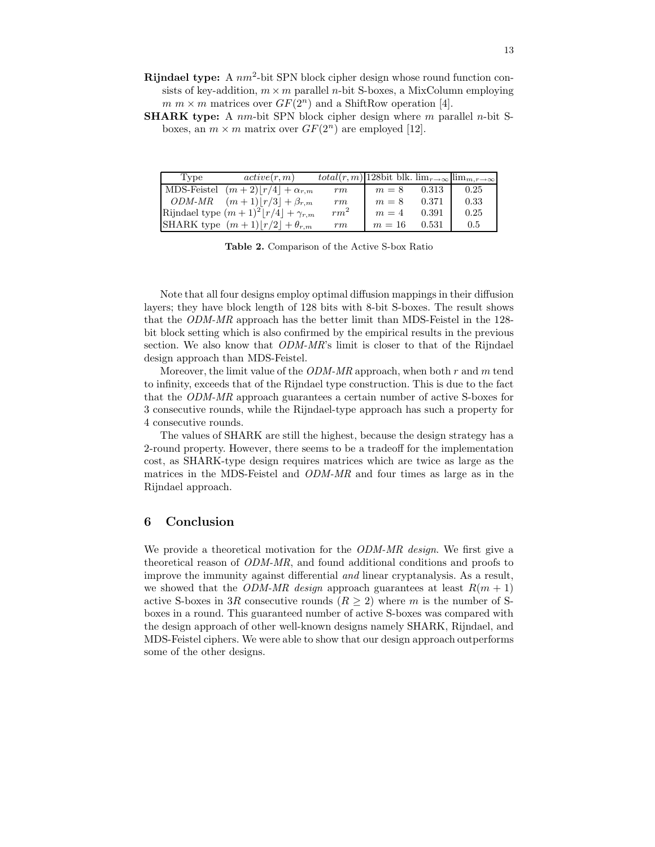- Rijndael type: A  $nm^2$ -bit SPN block cipher design whose round function consists of key-addition,  $m \times m$  parallel *n*-bit S-boxes, a MixColumn employing  $m \times m$  matrices over  $GF(2^n)$  and a ShiftRow operation [4].
- **SHARK type:** A nm-bit SPN block cipher design where m parallel n-bit Sboxes, an  $m \times m$  matrix over  $GF(2^n)$  are employed [12].

| Type | active(r, m)                                 | $\overline{total(r, m)}$ 128bit blk. $\lim_{r\to\infty}$ $\lim_{m,r\to\infty}$ |        |       |      |
|------|----------------------------------------------|--------------------------------------------------------------------------------|--------|-------|------|
|      | MDS-Feistel $(m+2) r/4  + \alpha_{r,m}$      | rm                                                                             | $m=8$  | 0.313 | 0.25 |
|      | <i>ODM-MR</i> $(m+1) r/3  + \beta_{r,m}$     | rm                                                                             | $m=8$  | 0.371 | 0.33 |
|      | Rijndael type $(m+1)^2  r/4  + \gamma_{r,m}$ | $rm^2$                                                                         | $m=4$  | 0.391 | 0.25 |
|      | SHARK type $(m+1) r/2  + \theta_{r,m}$       | rm                                                                             | $m=16$ | 0.531 | 0.5  |

Table 2. Comparison of the Active S-box Ratio

Note that all four designs employ optimal diffusion mappings in their diffusion layers; they have block length of 128 bits with 8-bit S-boxes. The result shows that the ODM-MR approach has the better limit than MDS-Feistel in the 128 bit block setting which is also confirmed by the empirical results in the previous section. We also know that *ODM-MR*'s limit is closer to that of the Rijndael design approach than MDS-Feistel.

Moreover, the limit value of the  $ODM-MR$  approach, when both r and m tend to infinity, exceeds that of the Rijndael type construction. This is due to the fact that the ODM-MR approach guarantees a certain number of active S-boxes for 3 consecutive rounds, while the Rijndael-type approach has such a property for 4 consecutive rounds.

The values of SHARK are still the highest, because the design strategy has a 2-round property. However, there seems to be a tradeoff for the implementation cost, as SHARK-type design requires matrices which are twice as large as the matrices in the MDS-Feistel and ODM-MR and four times as large as in the Rijndael approach.

## 6 Conclusion

We provide a theoretical motivation for the *ODM-MR design*. We first give a theoretical reason of ODM-MR, and found additional conditions and proofs to improve the immunity against differential and linear cryptanalysis. As a result, we showed that the ODM-MR design approach guarantees at least  $R(m + 1)$ active S-boxes in 3R consecutive rounds  $(R \geq 2)$  where m is the number of Sboxes in a round. This guaranteed number of active S-boxes was compared with the design approach of other well-known designs namely SHARK, Rijndael, and MDS-Feistel ciphers. We were able to show that our design approach outperforms some of the other designs.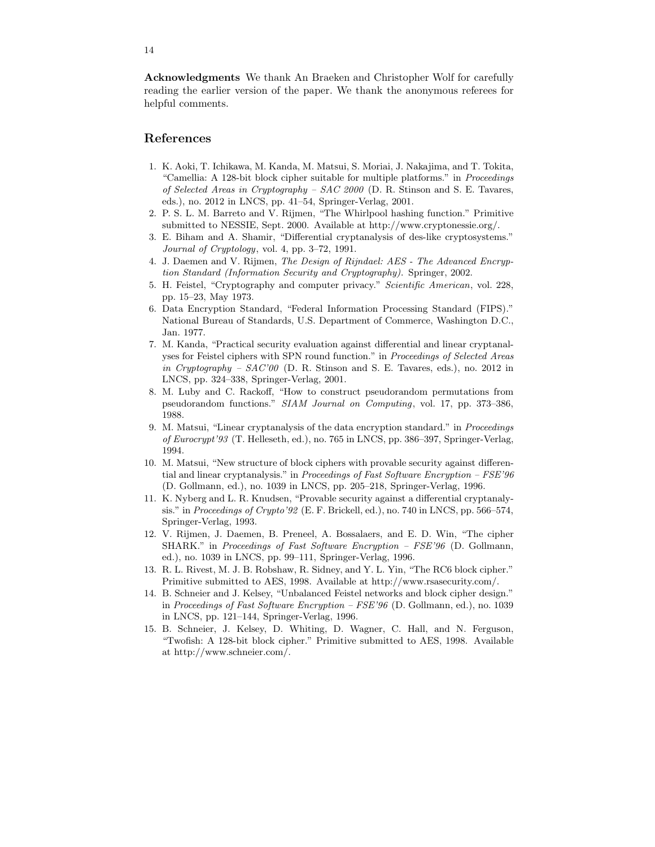Acknowledgments We thank An Braeken and Christopher Wolf for carefully reading the earlier version of the paper. We thank the anonymous referees for helpful comments.

# References

- 1. K. Aoki, T. Ichikawa, M. Kanda, M. Matsui, S. Moriai, J. Nakajima, and T. Tokita, "Camellia: A 128-bit block cipher suitable for multiple platforms." in Proceedings of Selected Areas in Cryptography –  $SAC$  2000 (D. R. Stinson and S. E. Tavares, eds.), no. 2012 in LNCS, pp. 41–54, Springer-Verlag, 2001.
- 2. P. S. L. M. Barreto and V. Rijmen, "The Whirlpool hashing function." Primitive submitted to NESSIE, Sept. 2000. Available at http://www.cryptonessie.org/.
- 3. E. Biham and A. Shamir, "Differential cryptanalysis of des-like cryptosystems." Journal of Cryptology, vol. 4, pp. 3–72, 1991.
- 4. J. Daemen and V. Rijmen, The Design of Rijndael: AES The Advanced Encryption Standard (Information Security and Cryptography). Springer, 2002.
- 5. H. Feistel, "Cryptography and computer privacy." Scientific American, vol. 228, pp. 15–23, May 1973.
- 6. Data Encryption Standard, "Federal Information Processing Standard (FIPS)." National Bureau of Standards, U.S. Department of Commerce, Washington D.C., Jan. 1977.
- 7. M. Kanda, "Practical security evaluation against differential and linear cryptanalyses for Feistel ciphers with SPN round function." in Proceedings of Selected Areas in Cryptography – SAC'00 (D. R. Stinson and S. E. Tavares, eds.), no. 2012 in LNCS, pp. 324–338, Springer-Verlag, 2001.
- 8. M. Luby and C. Rackoff, "How to construct pseudorandom permutations from pseudorandom functions." SIAM Journal on Computing, vol. 17, pp. 373–386, 1988.
- 9. M. Matsui, "Linear cryptanalysis of the data encryption standard." in Proceedings of Eurocrypt'93 (T. Helleseth, ed.), no. 765 in LNCS, pp. 386–397, Springer-Verlag, 1994.
- 10. M. Matsui, "New structure of block ciphers with provable security against differential and linear cryptanalysis." in Proceedings of Fast Software Encryption - FSE'96 (D. Gollmann, ed.), no. 1039 in LNCS, pp. 205–218, Springer-Verlag, 1996.
- 11. K. Nyberg and L. R. Knudsen, "Provable security against a differential cryptanalysis." in Proceedings of Crypto'92 (E. F. Brickell, ed.), no. 740 in LNCS, pp. 566–574, Springer-Verlag, 1993.
- 12. V. Rijmen, J. Daemen, B. Preneel, A. Bossalaers, and E. D. Win, "The cipher SHARK." in Proceedings of Fast Software Encryption – FSE'96 (D. Gollmann, ed.), no. 1039 in LNCS, pp. 99–111, Springer-Verlag, 1996.
- 13. R. L. Rivest, M. J. B. Robshaw, R. Sidney, and Y. L. Yin, "The RC6 block cipher." Primitive submitted to AES, 1998. Available at http://www.rsasecurity.com/.
- 14. B. Schneier and J. Kelsey, "Unbalanced Feistel networks and block cipher design." in Proceedings of Fast Software Encryption – FSE'96 (D. Gollmann, ed.), no. 1039 in LNCS, pp. 121–144, Springer-Verlag, 1996.
- 15. B. Schneier, J. Kelsey, D. Whiting, D. Wagner, C. Hall, and N. Ferguson, "Twofish: A 128-bit block cipher." Primitive submitted to AES, 1998. Available at http://www.schneier.com/.

14